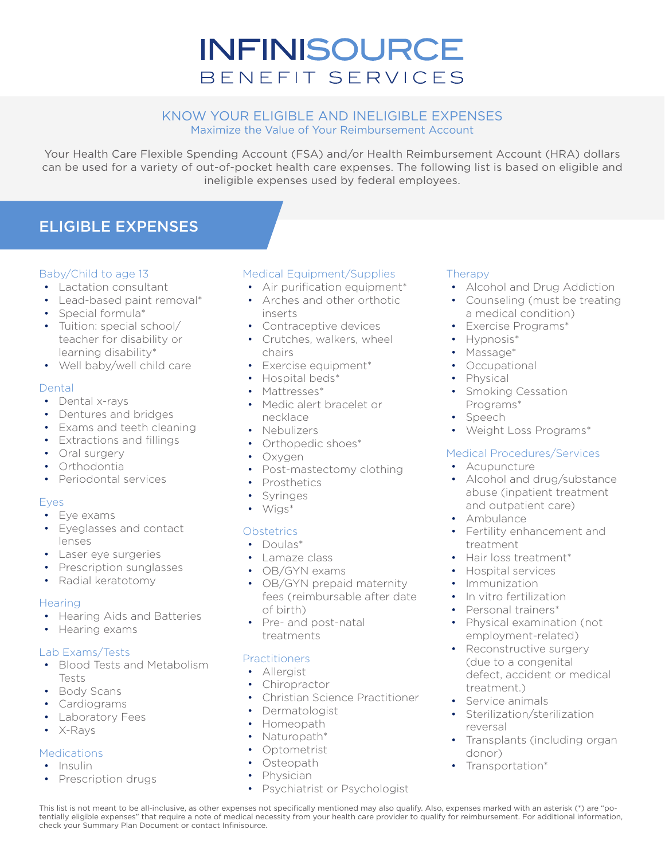# **INFINISOURCE** BENEFIT SERVICES

#### KNOW YOUR ELIGIBLE AND INELIGIBLE EXPENSES Maximize the Value of Your Reimbursement Account

Your Health Care Flexible Spending Account (FSA) and/or Health Reimbursement Account (HRA) dollars can be used for a variety of out-of-pocket health care expenses. The following list is based on eligible and ineligible expenses used by federal employees.

# ELIGIBLE EXPENSES

#### Baby/Child to age 13

- Lactation consultant
- Lead-based paint removal\*
- Special formula\*
- Tuition: special school/ teacher for disability or learning disability\*
- Well baby/well child care

#### Dental

- Dental x-rays
- Dentures and bridges
- Exams and teeth cleaning
- Extractions and fillings
- Oral surgery
- Orthodontia
- Periodontal services

#### Eyes

- Eye exams
- Eyeglasses and contact lenses
- Laser eye surgeries
- Prescription sunglasses
- Radial keratotomy

#### **Hearing**

- Hearing Aids and Batteries
- Hearing exams

#### Lab Exams/Tests

- Blood Tests and Metabolism Tests
- Body Scans
- Cardiograms
- Laboratory Fees
- X-Rays

#### **Medications**

- Insulin
- Prescription drugs

#### Medical Equipment/Supplies

- Air purification equipment\*
- Arches and other orthotic
- inserts
- Contraceptive devices
- Crutches, walkers, wheel chairs
- Exercise equipment\*
- Hospital beds\*
- Mattresses\*
- Medic alert bracelet or necklace
- Nebulizers
- Orthopedic shoes\*
- Oxygen
- Post-mastectomy clothing
- Prosthetics
- **Syringes**
- Wigs\*

#### **Obstetrics**

- Doulas\*
- Lamaze class
- OB/GYN exams
- OB/GYN prepaid maternity fees (reimbursable after date of birth)
- Pre- and post-natal treatments

#### **Practitioners**

- Allergist
- Chiropractor
- Christian Science Practitioner
- Dermatologist
- Homeopath
- Naturopath\*
- Optometrist
- Osteopath
- **Physician**

#### Psychiatrist or Psychologist

#### **Therapy**

- Alcohol and Drug Addiction
- Counseling (must be treating a medical condition)
- Exercise Programs\*
- Hypnosis\*
- Massage\*
- Occupational
- Physical
- Smoking Cessation Programs\*
- Speech
- Weight Loss Programs\*

#### Medical Procedures/Services

- Acupuncture
- Alcohol and drug/substance abuse (inpatient treatment and outpatient care)
- Ambulance
- Fertility enhancement and treatment
- Hair loss treatment\*
- Hospital services
- Immunization
- In vitro fertilization
- Personal trainers\*
- Physical examination (not employment-related)
- Reconstructive surgery (due to a congenital defect, accident or medical treatment.)
- Service animals
- Sterilization/sterilization reversal
- Transplants (including organ donor)
- Transportation\*

This list is not meant to be all-inclusive, as other expenses not specifically mentioned may also qualify. Also, expenses marked with an asterisk (\*) are "potentially eligible expenses" that require a note of medical necessity from your health care provider to qualify for reimbursement. For additional information, check your Summary Plan Document or contact Infinisource.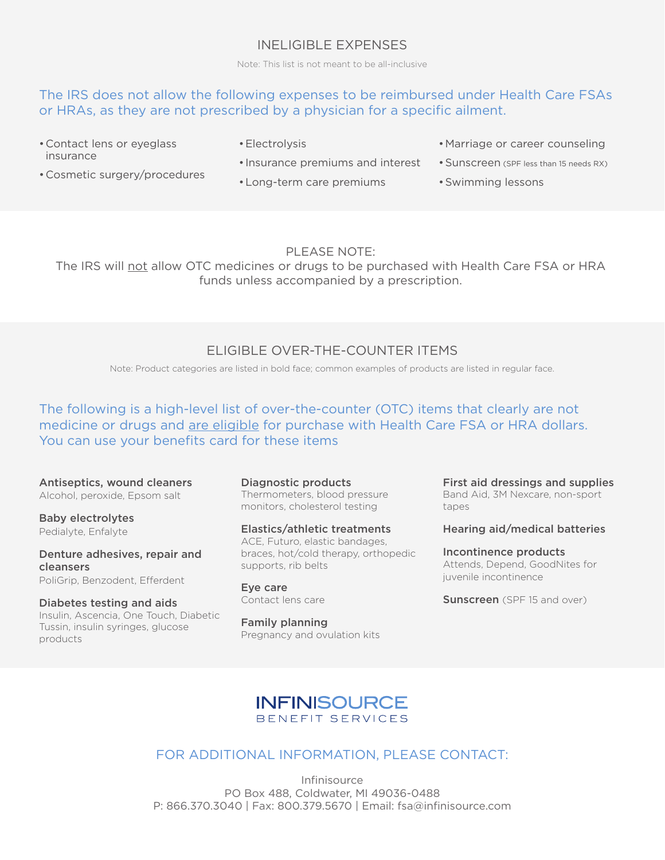## INELIGIBLE EXPENSES

Note: This list is not meant to be all-inclusive

## The IRS does not allow the following expenses to be reimbursed under Health Care FSAs or HRAs, as they are not prescribed by a physician for a specific ailment.

- •Contact lens or eyeglass insurance
- •Electrolysis
- Insurance premiums and interest
- •Cosmetic surgery/procedures
- •Long-term care premiums
- •Marriage or career counseling
- •Sunscreen (SPF less than 15 needs RX)
- •Swimming lessons

#### PLEASE NOTE:

The IRS will not allow OTC medicines or drugs to be purchased with Health Care FSA or HRA funds unless accompanied by a prescription.

## ELIGIBLE OVER-THE-COUNTER ITEMS

Note: Product categories are listed in bold face; common examples of products are listed in regular face.

## The following is a high-level list of over-the-counter (OTC) items that clearly are not medicine or drugs and are eligible for purchase with Health Care FSA or HRA dollars. You can use your benefits card for these items

#### Antiseptics, wound cleaners Alcohol, peroxide, Epsom salt

Baby electrolytes Pedialyte, Enfalyte

Denture adhesives, repair and cleansers PoliGrip, Benzodent, Efferdent

Diabetes testing and aids Insulin, Ascencia, One Touch, Diabetic Tussin, insulin syringes, glucose products

Diagnostic products Thermometers, blood pressure monitors, cholesterol testing

Elastics/athletic treatments ACE, Futuro, elastic bandages, braces, hot/cold therapy, orthopedic supports, rib belts

Eye care Conta[ct lens care](mailto:fsa@infinisource.com)

Family planning Pregnancy and ovulation kits First aid dressings and supplies Band Aid, 3M Nexcare, non-sport tapes

#### Hearing aid/medical batteries

Incontinence products Attends, Depend, GoodNites for juvenile incontinence

**Sunscreen** (SPF 15 and over)

## **INFINISOURCE** BENEFIT SERVICES

## FOR ADDITIONAL INFORMATION, PLEASE CONTACT:

Infinisource PO Box 488, Coldwater, MI 49036-0488 P: 866.370.3040 | Fax: 800.379.5670 | Email: fsa@infinisource.com